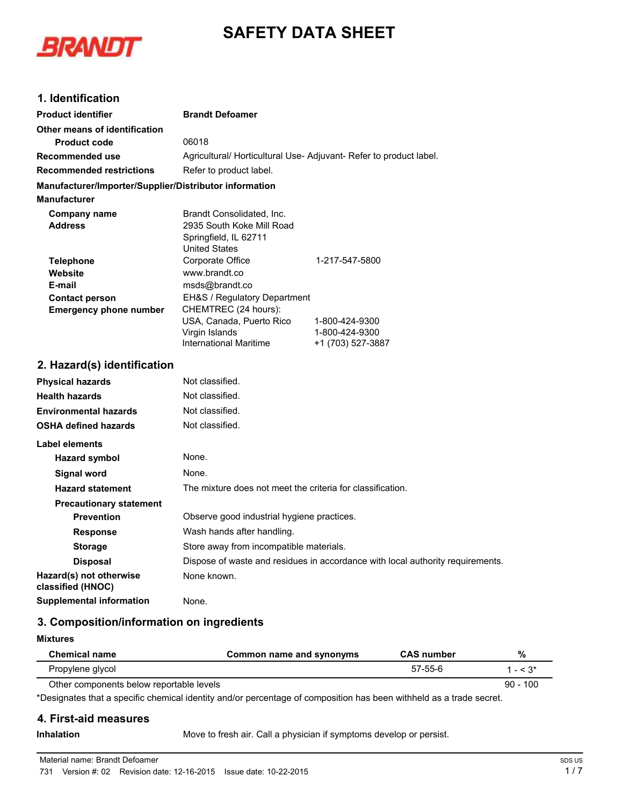# **SAFETY DATA SHEET**



## **1. Identification**

| <b>Product identifier</b>                              | <b>Brandt Defoamer</b>                                                         |                                  |  |
|--------------------------------------------------------|--------------------------------------------------------------------------------|----------------------------------|--|
| Other means of identification                          |                                                                                |                                  |  |
| <b>Product code</b>                                    | 06018                                                                          |                                  |  |
| <b>Recommended use</b>                                 | Agricultural/ Horticultural Use-Adjuvant-Refer to product label.               |                                  |  |
| <b>Recommended restrictions</b>                        | Refer to product label.                                                        |                                  |  |
| Manufacturer/Importer/Supplier/Distributor information |                                                                                |                                  |  |
| <b>Manufacturer</b>                                    |                                                                                |                                  |  |
| <b>Company name</b>                                    | Brandt Consolidated, Inc.                                                      |                                  |  |
| <b>Address</b>                                         | 2935 South Koke Mill Road                                                      |                                  |  |
|                                                        | Springfield, IL 62711<br><b>United States</b>                                  |                                  |  |
| <b>Telephone</b>                                       | Corporate Office                                                               | 1-217-547-5800                   |  |
| Website                                                | www.brandt.co                                                                  |                                  |  |
| E-mail                                                 | msds@brandt.co                                                                 |                                  |  |
| <b>Contact person</b>                                  | EH&S / Regulatory Department                                                   |                                  |  |
| <b>Emergency phone number</b>                          | CHEMTREC (24 hours):                                                           |                                  |  |
|                                                        | USA, Canada, Puerto Rico                                                       | 1-800-424-9300<br>1-800-424-9300 |  |
|                                                        | Virgin Islands<br><b>International Maritime</b>                                | +1 (703) 527-3887                |  |
|                                                        |                                                                                |                                  |  |
| 2. Hazard(s) identification                            |                                                                                |                                  |  |
| <b>Physical hazards</b>                                | Not classified.                                                                |                                  |  |
| <b>Health hazards</b>                                  | Not classified.                                                                |                                  |  |
| <b>Environmental hazards</b>                           | Not classified.                                                                |                                  |  |
| <b>OSHA defined hazards</b>                            | Not classified.                                                                |                                  |  |
| <b>Label elements</b>                                  |                                                                                |                                  |  |
| <b>Hazard symbol</b>                                   | None.                                                                          |                                  |  |
| <b>Signal word</b>                                     | None.                                                                          |                                  |  |
| <b>Hazard statement</b>                                | The mixture does not meet the criteria for classification.                     |                                  |  |
| <b>Precautionary statement</b>                         |                                                                                |                                  |  |
| <b>Prevention</b>                                      | Observe good industrial hygiene practices.                                     |                                  |  |
| <b>Response</b>                                        | Wash hands after handling.                                                     |                                  |  |
| <b>Storage</b>                                         | Store away from incompatible materials.                                        |                                  |  |
| <b>Disposal</b>                                        | Dispose of waste and residues in accordance with local authority requirements. |                                  |  |
| Hazard(s) not otherwise<br>classified (HNOC)           | None known.                                                                    |                                  |  |
| <b>Supplemental information</b>                        | None.                                                                          |                                  |  |

# **3. Composition/information on ingredients**

**Mixtures**

| <b>Chemical name</b>                     | Common name and synonyms | <b>CAS number</b> | %           |
|------------------------------------------|--------------------------|-------------------|-------------|
| Propylene glycol                         |                          | 57-55-6           | $1 - < 3^*$ |
| Other components below reportable levels |                          |                   | $90 - 100$  |

\*Designates that a specific chemical identity and/or percentage of composition has been withheld as a trade secret.

#### **4. First-aid measures**

**Inhalation** Move to fresh air. Call a physician if symptoms develop or persist.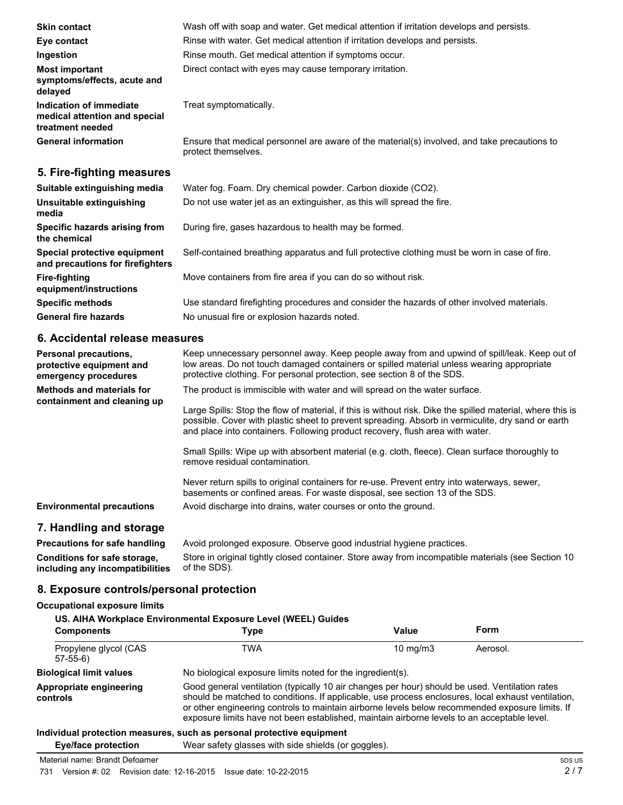| <b>Skin contact</b>                                                          | Wash off with soap and water. Get medical attention if irritation develops and persists.                            |  |  |
|------------------------------------------------------------------------------|---------------------------------------------------------------------------------------------------------------------|--|--|
| Eye contact                                                                  | Rinse with water. Get medical attention if irritation develops and persists.                                        |  |  |
| Ingestion                                                                    | Rinse mouth. Get medical attention if symptoms occur.                                                               |  |  |
| <b>Most important</b><br>symptoms/effects, acute and<br>delayed              | Direct contact with eyes may cause temporary irritation.                                                            |  |  |
| Indication of immediate<br>medical attention and special<br>treatment needed | Treat symptomatically.                                                                                              |  |  |
| <b>General information</b>                                                   | Ensure that medical personnel are aware of the material(s) involved, and take precautions to<br>protect themselves. |  |  |
| 5. Fire-fighting measures                                                    |                                                                                                                     |  |  |
| Suitable extinguishing media                                                 | Water fog. Foam. Dry chemical powder. Carbon dioxide (CO2).                                                         |  |  |
| Unsuitable extinguishing                                                     | Do not use water jet as an extinguisher, as this will spread the fire.                                              |  |  |

During fire, gases hazardous to health may be formed.

**Specific methods** Use standard firefighting procedures and consider the hazards of other involved materials.

Move containers from fire area if you can do so without risk.

| 6. Accidental release measures                                            |                                                                                                                                                                                                                                                                                                                                                                                |  |  |
|---------------------------------------------------------------------------|--------------------------------------------------------------------------------------------------------------------------------------------------------------------------------------------------------------------------------------------------------------------------------------------------------------------------------------------------------------------------------|--|--|
| Personal precautions,<br>protective equipment and<br>emergency procedures | Keep unnecessary personnel away. Keep people away from and upwind of spill/leak. Keep out of<br>low areas. Do not touch damaged containers or spilled material unless wearing appropriate<br>protective clothing. For personal protection, see section 8 of the SDS.                                                                                                           |  |  |
| <b>Methods and materials for</b><br>containment and cleaning up           | The product is immiscible with water and will spread on the water surface.<br>Large Spills: Stop the flow of material, if this is without risk. Dike the spilled material, where this is<br>possible. Cover with plastic sheet to prevent spreading. Absorb in vermiculite, dry sand or earth<br>and place into containers. Following product recovery, flush area with water. |  |  |
|                                                                           | Small Spills: Wipe up with absorbent material (e.g. cloth, fleece). Clean surface thoroughly to<br>remove residual contamination.<br>Never return spills to original containers for re-use. Prevent entry into waterways, sewer,<br>basements or confined areas. For waste disposal, see section 13 of the SDS.                                                                |  |  |
| <b>Environmental precautions</b>                                          | Avoid discharge into drains, water courses or onto the ground.                                                                                                                                                                                                                                                                                                                 |  |  |

# **7. Handling and storage**

**media**

**the chemical**

**Fire-fighting**

**Specific hazards arising from**

**Special protective equipment and precautions for firefighters**

**equipment/instructions**

**Precautions for safe handling** Avoid prolonged exposure. Observe good industrial hygiene practices. **Conditions for safe storage, including any incompatibilities** Store in original tightly closed container. Store away from incompatible materials (see Section 10 of the SDS).

Self-contained breathing apparatus and full protective clothing must be worn in case of fire.

**8. Exposure controls/personal protection**

#### **Occupational exposure limits**

| US. AIHA Workplace Environmental Exposure Level (WEEL) Guides |                                                                                                                                                                                                                                                                                                                                                                                                        |                   |          |
|---------------------------------------------------------------|--------------------------------------------------------------------------------------------------------------------------------------------------------------------------------------------------------------------------------------------------------------------------------------------------------------------------------------------------------------------------------------------------------|-------------------|----------|
| <b>Components</b>                                             | Type                                                                                                                                                                                                                                                                                                                                                                                                   | Value             | Form     |
| Propylene glycol (CAS<br>$57-55-6$                            | TWA                                                                                                                                                                                                                                                                                                                                                                                                    | $10 \text{ mg/m}$ | Aerosol. |
| <b>Biological limit values</b>                                | No biological exposure limits noted for the ingredient(s).                                                                                                                                                                                                                                                                                                                                             |                   |          |
| Appropriate engineering<br>controls                           | Good general ventilation (typically 10 air changes per hour) should be used. Ventilation rates<br>should be matched to conditions. If applicable, use process enclosures, local exhaust ventilation,<br>or other engineering controls to maintain airborne levels below recommended exposure limits. If<br>exposure limits have not been established, maintain airborne levels to an acceptable level. |                   |          |

#### **Individual protection measures, such as personal protective equipment**

**General fire hazards** No unusual fire or explosion hazards noted.

**Eye/face protection** Wear safety glasses with side shields (or goggles).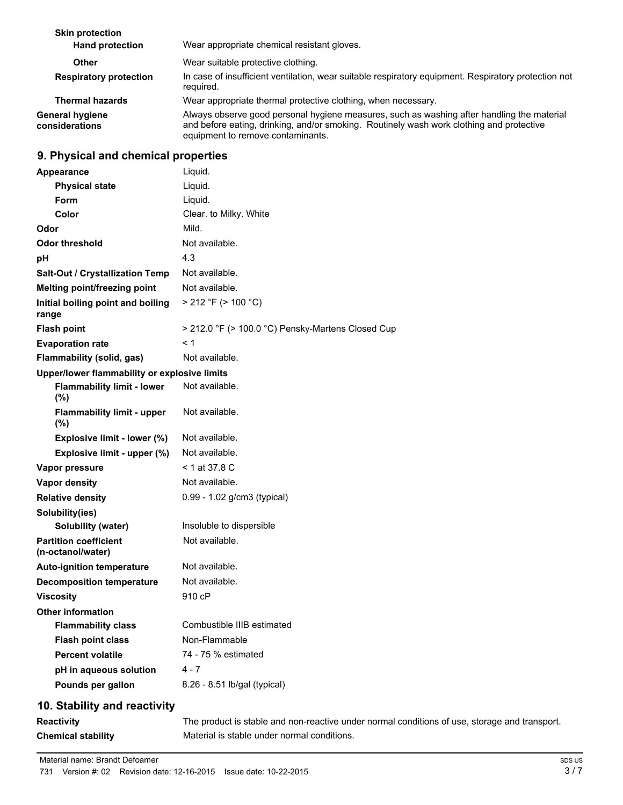| <b>Skin protection</b><br><b>Hand protection</b> | Wear appropriate chemical resistant gloves.                                                                                                                                                                                 |
|--------------------------------------------------|-----------------------------------------------------------------------------------------------------------------------------------------------------------------------------------------------------------------------------|
| Other                                            | Wear suitable protective clothing.                                                                                                                                                                                          |
| <b>Respiratory protection</b>                    | In case of insufficient ventilation, wear suitable respiratory equipment. Respiratory protection not<br>required.                                                                                                           |
| <b>Thermal hazards</b>                           | Wear appropriate thermal protective clothing, when necessary.                                                                                                                                                               |
| <b>General hygiene</b><br>considerations         | Always observe good personal hygiene measures, such as washing after handling the material<br>and before eating, drinking, and/or smoking. Routinely wash work clothing and protective<br>equipment to remove contaminants. |

# **9. Physical and chemical properties**

| Appearance                                        | Liquid.                                           |
|---------------------------------------------------|---------------------------------------------------|
| <b>Physical state</b>                             | Liquid.                                           |
| <b>Form</b>                                       | Liquid.                                           |
| Color                                             | Clear. to Milky. White                            |
| Odor                                              | Mild.                                             |
| Odor threshold                                    | Not available.                                    |
| рH                                                | 4.3                                               |
| Salt-Out / Crystallization Temp                   | Not available.                                    |
| Melting point/freezing point                      | Not available.                                    |
| Initial boiling point and boiling<br>range        | $> 212$ °F ( $> 100$ °C)                          |
| <b>Flash point</b>                                | > 212.0 °F (> 100.0 °C) Pensky-Martens Closed Cup |
| <b>Evaporation rate</b>                           | < 1                                               |
| <b>Flammability (solid, gas)</b>                  | Not available.                                    |
| Upper/lower flammability or explosive limits      |                                                   |
| <b>Flammability limit - lower</b><br>(%)          | Not available.                                    |
| <b>Flammability limit - upper</b><br>(%)          | Not available.                                    |
| Explosive limit - lower (%)                       | Not available.                                    |
| Explosive limit - upper (%)                       | Not available.                                    |
| Vapor pressure                                    | $<$ 1 at 37.8 C                                   |
| <b>Vapor density</b>                              | Not available.                                    |
| <b>Relative density</b>                           | 0.99 - 1.02 g/cm3 (typical)                       |
| Solubility(ies)                                   |                                                   |
| <b>Solubility (water)</b>                         | Insoluble to dispersible                          |
| <b>Partition coefficient</b><br>(n-octanol/water) | Not available.                                    |
| <b>Auto-ignition temperature</b>                  | Not available.                                    |
| <b>Decomposition temperature</b>                  | Not available.                                    |
| <b>Viscosity</b>                                  | 910 cP                                            |
| <b>Other information</b>                          |                                                   |
| <b>Flammability class</b>                         | Combustible IIIB estimated                        |
| <b>Flash point class</b>                          | Non-Flammable                                     |
| <b>Percent volatile</b>                           | 74 - 75 % estimated                               |
| pH in aqueous solution                            | $4 - 7$                                           |
| Pounds per gallon                                 | 8.26 - 8.51 lb/gal (typical)                      |
| 10 Stability and reactivity                       |                                                   |

#### **10. Stability and reactivity**

**Reactivity** The product is stable and non-reactive under normal conditions of use, storage and transport. **Chemical stability** Material is stable under normal conditions.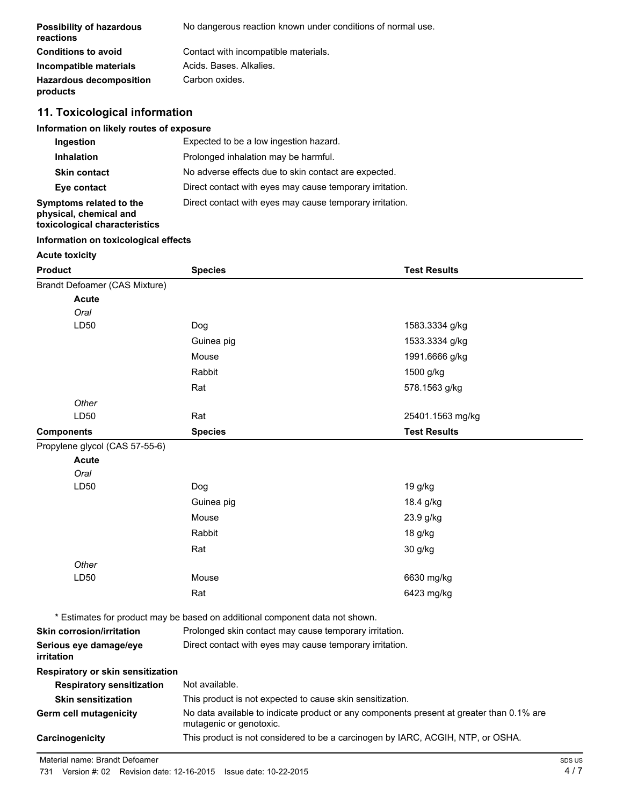| <b>Possibility of hazardous</b><br>reactions | No dangerous reaction known under conditions of normal use. |
|----------------------------------------------|-------------------------------------------------------------|
| <b>Conditions to avoid</b>                   | Contact with incompatible materials.                        |
| Incompatible materials                       | Acids, Bases, Alkalies,                                     |
| <b>Hazardous decomposition</b><br>products   | Carbon oxides.                                              |

# **11. Toxicological information**

#### **Information on likely routes of exposure**

| Ingestion                                                                          | Expected to be a low ingestion hazard.                   |  |  |
|------------------------------------------------------------------------------------|----------------------------------------------------------|--|--|
| <b>Inhalation</b>                                                                  | Prolonged inhalation may be harmful.                     |  |  |
| <b>Skin contact</b>                                                                | No adverse effects due to skin contact are expected.     |  |  |
| Eye contact                                                                        | Direct contact with eyes may cause temporary irritation. |  |  |
| Symptoms related to the<br>physical, chemical and<br>toxicological characteristics | Direct contact with eyes may cause temporary irritation. |  |  |

#### **Information on toxicological effects**

#### **Acute toxicity**

| <b>Product</b>                       | <b>Species</b><br><b>Test Results</b>                                        |                                                                                          |  |  |
|--------------------------------------|------------------------------------------------------------------------------|------------------------------------------------------------------------------------------|--|--|
| Brandt Defoamer (CAS Mixture)        |                                                                              |                                                                                          |  |  |
| <b>Acute</b>                         |                                                                              |                                                                                          |  |  |
| Oral                                 |                                                                              |                                                                                          |  |  |
| LD50                                 | Dog                                                                          | 1583.3334 g/kg                                                                           |  |  |
|                                      | Guinea pig                                                                   | 1533.3334 g/kg                                                                           |  |  |
|                                      | Mouse                                                                        | 1991.6666 g/kg                                                                           |  |  |
|                                      | Rabbit                                                                       | 1500 g/kg                                                                                |  |  |
|                                      | Rat                                                                          | 578.1563 g/kg                                                                            |  |  |
| Other                                |                                                                              |                                                                                          |  |  |
| LD50                                 | Rat                                                                          | 25401.1563 mg/kg                                                                         |  |  |
| <b>Components</b>                    | <b>Species</b>                                                               | <b>Test Results</b>                                                                      |  |  |
| Propylene glycol (CAS 57-55-6)       |                                                                              |                                                                                          |  |  |
| <b>Acute</b>                         |                                                                              |                                                                                          |  |  |
| Oral                                 |                                                                              |                                                                                          |  |  |
| LD50                                 | Dog                                                                          | 19 g/kg                                                                                  |  |  |
|                                      | Guinea pig                                                                   | 18.4 g/kg                                                                                |  |  |
|                                      | Mouse                                                                        | 23.9 g/kg                                                                                |  |  |
|                                      | Rabbit                                                                       | 18 g/kg                                                                                  |  |  |
|                                      | Rat                                                                          | 30 g/kg                                                                                  |  |  |
| Other                                |                                                                              |                                                                                          |  |  |
| LD50                                 | Mouse                                                                        | 6630 mg/kg                                                                               |  |  |
|                                      | Rat                                                                          | 6423 mg/kg                                                                               |  |  |
|                                      | * Estimates for product may be based on additional component data not shown. |                                                                                          |  |  |
| <b>Skin corrosion/irritation</b>     |                                                                              | Prolonged skin contact may cause temporary irritation.                                   |  |  |
| Serious eye damage/eye<br>irritation |                                                                              | Direct contact with eyes may cause temporary irritation.                                 |  |  |
| Respiratory or skin sensitization    |                                                                              |                                                                                          |  |  |
| <b>Respiratory sensitization</b>     | Not available.                                                               |                                                                                          |  |  |
| <b>Skin sensitization</b>            | This product is not expected to cause skin sensitization.                    |                                                                                          |  |  |
| Germ cell mutagenicity               | mutagenic or genotoxic.                                                      | No data available to indicate product or any components present at greater than 0.1% are |  |  |
| Carcinogenicity                      |                                                                              | This product is not considered to be a carcinogen by IARC, ACGIH, NTP, or OSHA.          |  |  |
|                                      |                                                                              |                                                                                          |  |  |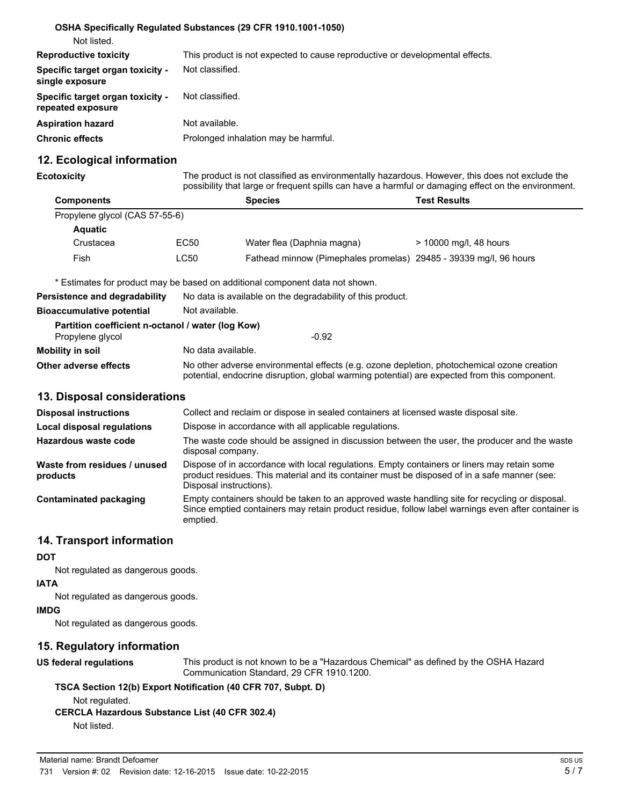|                                                       | OSHA Specifically Regulated Substances (29 CFR 1910.1001-1050)               |
|-------------------------------------------------------|------------------------------------------------------------------------------|
| Not listed.                                           |                                                                              |
| <b>Reproductive toxicity</b>                          | This product is not expected to cause reproductive or developmental effects. |
| Specific target organ toxicity -<br>single exposure   | Not classified.                                                              |
| Specific target organ toxicity -<br>repeated exposure | Not classified.                                                              |
| <b>Aspiration hazard</b>                              | Not available.                                                               |
| <b>Chronic effects</b>                                | Prolonged inhalation may be harmful.                                         |

## **12. Ecological information**

**Ecotoxicity** The product is not classified as environmentally hazardous. However, this does not exclude the possibility that large or frequent spills can have a harmful or damaging effect on the environment.

| <b>Components</b>              |      | <b>Species</b>                                                    | <b>Test Results</b>    |
|--------------------------------|------|-------------------------------------------------------------------|------------------------|
| Propylene glycol (CAS 57-55-6) |      |                                                                   |                        |
| <b>Aquatic</b>                 |      |                                                                   |                        |
| Crustacea                      | EC50 | Water flea (Daphnia magna)                                        | > 10000 mg/l, 48 hours |
| Fish                           | LC50 | Fathead minnow (Pimephales promelas) 29485 - 39339 mg/l, 96 hours |                        |

\* Estimates for product may be based on additional component data not shown.

| Persistence and degradability                     | No data is available on the degradability of this product.                                                                                                                                 |  |
|---------------------------------------------------|--------------------------------------------------------------------------------------------------------------------------------------------------------------------------------------------|--|
| <b>Bioaccumulative potential</b>                  | Not available.                                                                                                                                                                             |  |
| Partition coefficient n-octanol / water (log Kow) |                                                                                                                                                                                            |  |
| Propylene glycol                                  | $-0.92$                                                                                                                                                                                    |  |
| Mobility in soil                                  | No data available.                                                                                                                                                                         |  |
| Other adverse effects                             | No other adverse environmental effects (e.g. ozone depletion, photochemical ozone creation<br>potential, endocrine disruption, global warming potential) are expected from this component. |  |

## **13. Disposal considerations**

| <b>Disposal instructions</b>             | Collect and reclaim or dispose in sealed containers at licensed waste disposal site.                                                                                                                                   |
|------------------------------------------|------------------------------------------------------------------------------------------------------------------------------------------------------------------------------------------------------------------------|
| <b>Local disposal regulations</b>        | Dispose in accordance with all applicable regulations.                                                                                                                                                                 |
| Hazardous waste code                     | The waste code should be assigned in discussion between the user, the producer and the waste<br>disposal company.                                                                                                      |
| Waste from residues / unused<br>products | Dispose of in accordance with local regulations. Empty containers or liners may retain some<br>product residues. This material and its container must be disposed of in a safe manner (see:<br>Disposal instructions). |
| Contaminated packaging                   | Empty containers should be taken to an approved waste handling site for recycling or disposal.<br>Since emptied containers may retain product residue, follow label warnings even after container is<br>emptied.       |

## **14. Transport information**

**DOT**

Not regulated as dangerous goods.

**IATA**

Not regulated as dangerous goods.

**IMDG**

Not regulated as dangerous goods.

## **15. Regulatory information**

**US federal regulations** This product is not known to be a "Hazardous Chemical" as defined by the OSHA Hazard Communication Standard, 29 CFR 1910.1200.

#### **TSCA Section 12(b) Export Notification (40 CFR 707, Subpt. D)**

Not regulated.

**CERCLA Hazardous Substance List (40 CFR 302.4)** Not listed.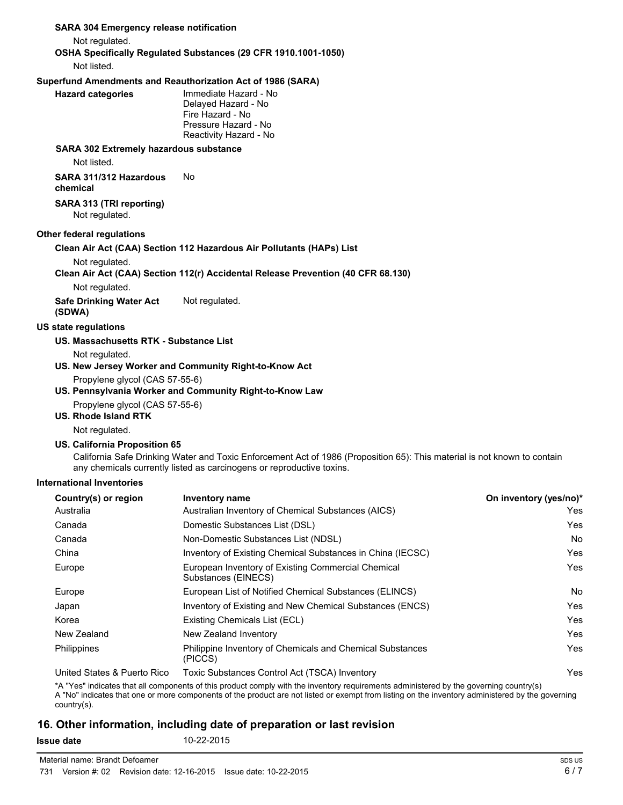## **SARA 304 Emergency release notification** Not regulated. **OSHA Specifically Regulated Substances (29 CFR 1910.1001-1050)** Not listed. **Superfund Amendments and Reauthorization Act of 1986 (SARA) Hazard categories** Immediate Hazard - No Delayed Hazard - No Fire Hazard - No Pressure Hazard - No Reactivity Hazard - No **SARA 302 Extremely hazardous substance** Not listed. **SARA 311/312 Hazardous chemical** No **SARA 313 (TRI reporting)** Not regulated. **Other federal regulations Clean Air Act (CAA) Section 112 Hazardous Air Pollutants (HAPs) List** Not regulated. **Clean Air Act (CAA) Section 112(r) Accidental Release Prevention (40 CFR 68.130)** Not regulated. **Safe Drinking Water Act (SDWA)** Not regulated. **US state regulations US. Massachusetts RTK - Substance List** Not regulated. **US. New Jersey Worker and Community Right-to-Know Act** Propylene glycol (CAS 57-55-6) **US. Pennsylvania Worker and Community Right-to-Know Law** Propylene glycol (CAS 57-55-6) **US. Rhode Island RTK** Not regulated. **US. California Proposition 65** California Safe Drinking Water and Toxic Enforcement Act of 1986 (Proposition 65): This material is not known to contain any chemicals currently listed as carcinogens or reproductive toxins. **International Inventories Country(s) or region Inventory name On inventory (yes/no)\***

| Australia                   | Australian Inventory of Chemical Substances (AICS)                        | Yes |
|-----------------------------|---------------------------------------------------------------------------|-----|
| Canada                      | Domestic Substances List (DSL)                                            | Yes |
| Canada                      | Non-Domestic Substances List (NDSL)                                       | No  |
| China                       | Inventory of Existing Chemical Substances in China (IECSC)                | Yes |
| Europe                      | European Inventory of Existing Commercial Chemical<br>Substances (EINECS) | Yes |
| Europe                      | European List of Notified Chemical Substances (ELINCS)                    | No  |
| Japan                       | Inventory of Existing and New Chemical Substances (ENCS)                  | Yes |
| Korea                       | Existing Chemicals List (ECL)                                             | Yes |
| New Zealand                 | New Zealand Inventory                                                     | Yes |
| Philippines                 | Philippine Inventory of Chemicals and Chemical Substances<br>(PICCS)      | Yes |
| United States & Puerto Rico | Toxic Substances Control Act (TSCA) Inventory                             | Yes |
|                             |                                                                           |     |

\*A "Yes" indicates that all components of this product comply with the inventory requirements administered by the governing country(s) A "No" indicates that one or more components of the product are not listed or exempt from listing on the inventory administered by the governing country(s).

## **16. Other information, including date of preparation or last revision**

**Issue date** 10-22-2015